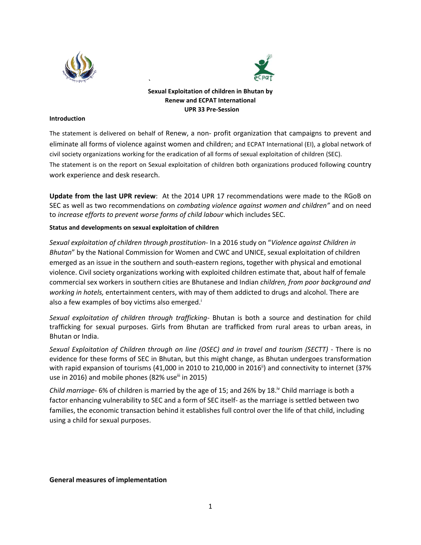



# **Sexual Exploitation of children in Bhutan by Renew and ECPAT International UPR 33 Pre-Session**

#### **Introduction**

The statement is delivered on behalf of Renew, a non- profit organization that campaigns to prevent and eliminate all forms of violence against women and children; and ECPAT International (EI), a global network of civil society organizations working for the eradication of all forms of sexual exploitation of children (SEC). The statement is on the report on Sexual exploitation of children both organizations produced following country work experience and desk research.

**Update from the last UPR review**: At the 2014 UPR 17 recommendations were made to the RGoB on SEC as well as two recommendations on *combating violence against women and children"* and on need to *increase efforts to prevent worse forms of child labour* which includes SEC.

#### **Status and developments on sexual exploitation of children**

*Sexual exploitation of children through prostitution*- In a 2016 study on "*Violence against Children in Bhutan*" by the National Commission for Women and CWC and UNICE, sexual exploitation of children emerged as an issue in the southern and south-eastern regions, together with physical and emotional violence. Civil society organizations working with exploited children estimate that, about half of female commercial sex workers in southern cities are Bhutanese and Indian *children, from poor background and working in hotels,* entertainment centers, with may of them addicted to drugs and alcohol. There are also a few examples of boy victims also emerged.<sup>i</sup>

*Sexual exploitation of children through trafficking*- Bhutan is both a source and destination for child trafficking for sexual purposes. Girls from Bhutan are trafficked from rural areas to urban areas, in Bhutan or India.

*Sexual Exploitation of Children through on line (OSEC) and in travel and tourism (SECTT)* - There is no evidence for these forms of SEC in Bhutan, but this might change, as Bhutan undergoes transformation with rapid expansion of tourisms (41,000 in 2010 to 210,000 in 2016<sup>ii</sup>) and connectivity to internet (37% use in 2016) and mobile phones (82% use $\frac{1}{10}$  in 2015)

*Child marriage-* 6% of children is married by the age of 15; and 26% by 18.<sup>Iv</sup> Child marriage is both a factor enhancing vulnerability to SEC and a form of SEC itself- as the marriage is settled between two families, the economic transaction behind it establishes full control over the life of that child, including using a child for sexual purposes.

#### **General measures of implementation**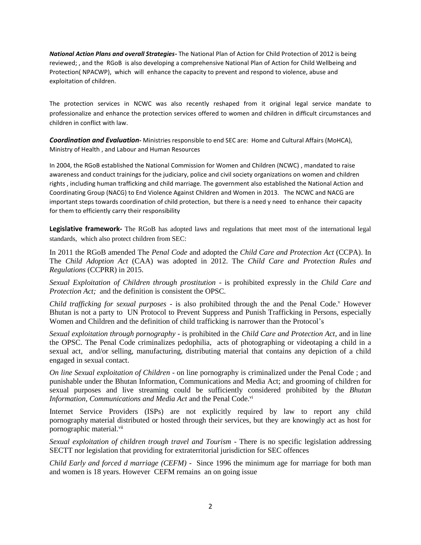*National Action Plans and overall Strategies-* The National Plan of Action for Child Protection of 2012 is being reviewed; , and the RGoB is also developing a comprehensive National Plan of Action for Child Wellbeing and Protection( NPACWP), which will enhance the capacity to prevent and respond to violence, abuse and exploitation of children.

The protection services in NCWC was also recently reshaped from it original legal service mandate to professionalize and enhance the protection services offered to women and children in difficult circumstances and children in conflict with law.

*Coordination and Evaluation-* Ministries responsible to end SEC are: Home and Cultural Affairs (MoHCA), Ministry of Health , and Labour and Human Resources

In 2004, the RGoB established the National Commission for Women and Children (NCWC) , mandated to raise awareness and conduct trainings for the judiciary, police and civil society organizations on women and children rights , including human trafficking and child marriage. The government also established the National Action and Coordinating Group (NACG) to End Violence Against Children and Women in 2013. The NCWC and NACG are important steps towards coordination of child protection, but there is a need y need to enhance their capacity for them to efficiently carry their responsibility

**Legislative framework-** The RGoB has adopted laws and regulations that meet most of the international legal standards, which also protect children from SEC:

In 2011 the RGoB amended The *Penal Code* and adopted the *Child Care and Protection Act* (CCPA). In The *Child Adoption Act* (CAA) was adopted in 2012. The *Child Care and Protection Rules and Regulations* (CCPRR) in 2015.

*Sexual Exploitation of Children through prostitution* - is prohibited expressly in the *Child Care and Protection Act;* and the definition is consistent the OPSC.

*Child trafficking for sexual purposes* - is also prohibited through the and the Penal Code.<sup>V</sup> However Bhutan is not a party to UN Protocol to Prevent Suppress and Punish Trafficking in Persons, especially Women and Children and the definition of child trafficking is narrower than the Protocol's

*Sexual exploitation through pornography -* is prohibited in the *Child Care and Protection Act*, and in line the OPSC. The Penal Code criminalizes pedophilia, acts of photographing or videotaping a child in a sexual act, and/or selling, manufacturing, distributing material that contains any depiction of a child engaged in sexual contact.

*On line Sexual exploitation of Children* - on line pornography is criminalized under the Penal Code ; and punishable under the Bhutan Information, Communications and Media Act; and grooming of children for sexual purposes and live streaming could be sufficiently considered prohibited by the *Bhutan Information, Communications and Media Act and the Penal Code.*<sup>vi</sup>

Internet Service Providers (ISPs) are not explicitly required by law to report any child pornography material distributed or hosted through their services, but they are knowingly act as host for pornographic material.<sup>vii</sup>

*Sexual exploitation of children trough travel and Tourism* - There is no specific legislation addressing SECTT nor legislation that providing for extraterritorial jurisdiction for SEC offences

*Child Early and forced d marriage (CEFM)* - Since 1996 the minimum age for marriage for both man and women is 18 years. However CEFM remains an on going issue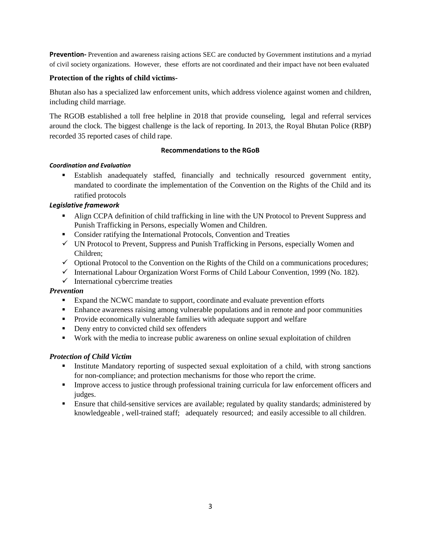**Prevention-** Prevention and awareness raising actions SEC are conducted by Government institutions and a myriad of civil society organizations. However, these efforts are not coordinated and their impact have not been evaluated

## **Protection of the rights of child victims-**

Bhutan also has a specialized law enforcement units, which address violence against women and children, including child marriage.

The RGOB established a toll free helpline in 2018 that provide counseling, legal and referral services around the clock. The biggest challenge is the lack of reporting. In 2013, the Royal Bhutan Police (RBP) recorded 35 reported cases of child rape.

## **Recommendations to the RGoB**

## *Coordination and Evaluation*

▪ Establish anadequately staffed, financially and technically resourced government entity, mandated to coordinate the implementation of the Convention on the Rights of the Child and its ratified protocols

# *Legislative framework*

- Align CCPA definition of child trafficking in line with the UN Protocol to Prevent Suppress and Punish Trafficking in Persons, especially Women and Children.
- **•** Consider ratifying the International Protocols, Convention and Treaties
- $\checkmark$  UN Protocol to Prevent, Suppress and Punish Trafficking in Persons, especially Women and Children;
- $\checkmark$  Optional Protocol to the Convention on the Rights of the Child on a communications procedures;
- ✓ International Labour Organization Worst Forms of Child Labour Convention, 1999 (No. 182).
- $\checkmark$  International cybercrime treaties

# *Prevention*

- Expand the NCWC mandate to support, coordinate and evaluate prevention efforts
- **•** Enhance awareness raising among vulnerable populations and in remote and poor communities
- **•** Provide economically vulnerable families with adequate support and welfare
- **•** Deny entry to convicted child sex offenders
- Work with the media to increase public awareness on online sexual exploitation of children

# *Protection of Child Victim*

- **Exercise 1** Institute Mandatory reporting of suspected sexual exploitation of a child, with strong sanctions for non-compliance; and protection mechanisms for those who report the crime.
- **•** Improve access to justice through professional training curricula for law enforcement officers and judges.
- **Ensure that child-sensitive services are available; regulated by quality standards; administered by** knowledgeable , well-trained staff; adequately resourced; and easily accessible to all children.